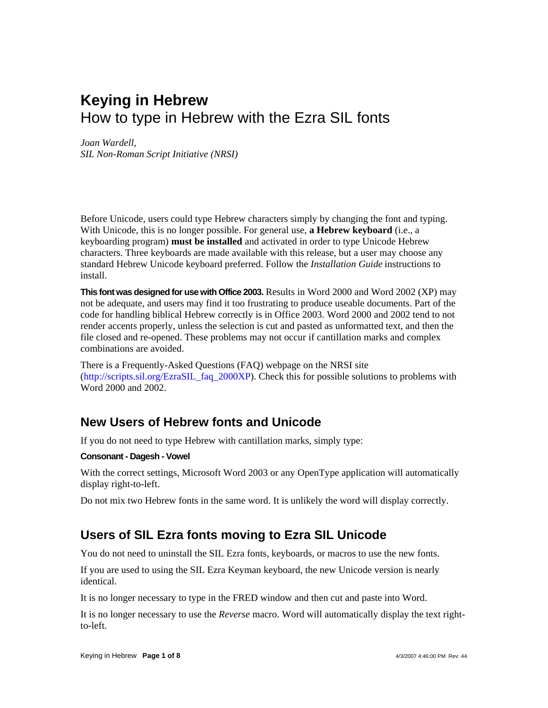# **Keying in Hebrew**  How to type in Hebrew with the Ezra SIL fonts

#### *Joan Wardell,*

*SIL Non-Roman Script Initiative (NRSI)* 

Before Unicode, users could type Hebrew characters simply by changing the font and typing. With Unicode, this is no longer possible. For general use, **a Hebrew keyboard** (i.e., a keyboarding program) **must be installed** and activated in order to type Unicode Hebrew characters. Three keyboards are made available with this release, but a user may choose any standard Hebrew Unicode keyboard preferred. Follow the *Installation Guide* instructions to install.

**This font was designed for use with Office 2003.** Results in Word 2000 and Word 2002 (XP) may not be adequate, and users may find it too frustrating to produce useable documents. Part of the code for handling biblical Hebrew correctly is in Office 2003. Word 2000 and 2002 tend to not render accents properly, unless the selection is cut and pasted as unformatted text, and then the file closed and re-opened. These problems may not occur if cantillation marks and complex combinations are avoided.

There is a Frequently-Asked Questions (FAQ) webpage on the NRSI site ([http://scripts.sil.org/EzraSIL\\_faq\\_2000XP](http://scripts.sil.org/EzraSIL_faq_2000XP)). Check this for possible solutions to problems with Word 2000 and 2002.

### **New Users of Hebrew fonts and Unicode**

If you do not need to type Hebrew with cantillation marks, simply type:

#### **Consonant - Dagesh - Vowel**

With the correct settings, Microsoft Word 2003 or any OpenType application will automatically display right-to-left.

Do not mix two Hebrew fonts in the same word. It is unlikely the word will display correctly.

### **Users of SIL Ezra fonts moving to Ezra SIL Unicode**

You do not need to uninstall the SIL Ezra fonts, keyboards, or macros to use the new fonts.

If you are used to using the SIL Ezra Keyman keyboard, the new Unicode version is nearly identical.

It is no longer necessary to type in the FRED window and then cut and paste into Word.

It is no longer necessary to use the *Reverse* macro. Word will automatically display the text rightto-left.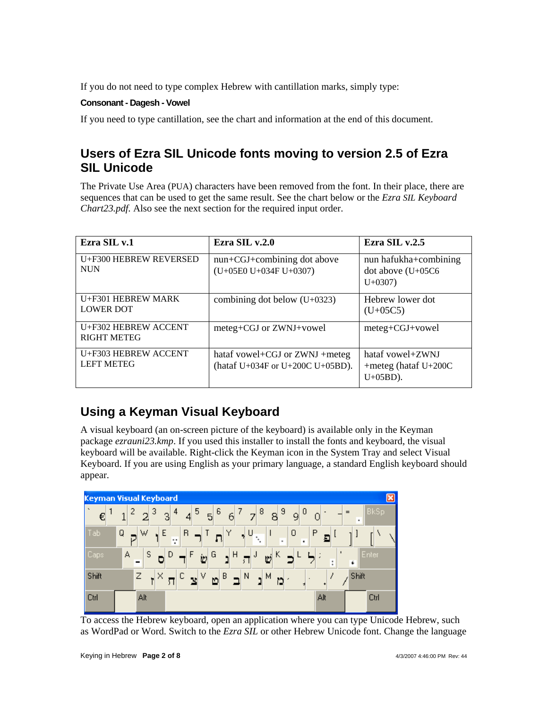If you do not need to type complex Hebrew with cantillation marks, simply type:

#### **Consonant - Dagesh - Vowel**

If you need to type cantillation, see the chart and information at the end of this document.

### **Users of Ezra SIL Unicode fonts moving to version 2.5 of Ezra SIL Unicode**

The Private Use Area (PUA) characters have been removed from the font. In their place, there are sequences that can be used to get the same result. See the chart below or the *Ezra SIL Keyboard Chart23.pdf.* Also see the next section for the required input order.

| Ezra SIL v.1                               | Ezra SIL v.2.0                                                     | Ezra SIL v.2.5                                              |
|--------------------------------------------|--------------------------------------------------------------------|-------------------------------------------------------------|
| U+F300 HEBREW REVERSED<br><b>NUN</b>       | nun+CGJ+combining dot above<br>(U+05E0 U+034F U+0307)              | nun hafukha+combining<br>dot above $(U+05C6)$<br>$U + 0307$ |
| U+F301 HEBREW MARK<br><b>LOWER DOT</b>     | combining dot below $(U+0323)$                                     | Hebrew lower dot<br>$(U+05C5)$                              |
| U+F302 HEBREW ACCENT<br><b>RIGHT METEG</b> | meteg+CGJ or ZWNJ+vowel                                            | meteg+CGJ+vowel                                             |
| U+F303 HEBREW ACCENT<br><b>LEFT METEG</b>  | hataf vowel+CGJ or ZWNJ +meteg<br>(hataf U+034F or U+200C U+05BD). | hataf vowel+ZWNJ<br>+meteg (hataf $U+200C$<br>$U+05BD$ ).   |

## **Using a Keyman Visual Keyboard**

A visual keyboard (an on-screen picture of the keyboard) is available only in the Keyman package *ezrauni23.kmp*. If you used this installer to install the fonts and keyboard, the visual keyboard will be available. Right-click the Keyman icon in the System Tray and select Visual Keyboard. If you are using English as your primary language, a standard English keyboard should appear.



To access the Hebrew keyboard, open an application where you can type Unicode Hebrew, such as WordPad or Word. Switch to the *Ezra SIL* or other Hebrew Unicode font. Change the language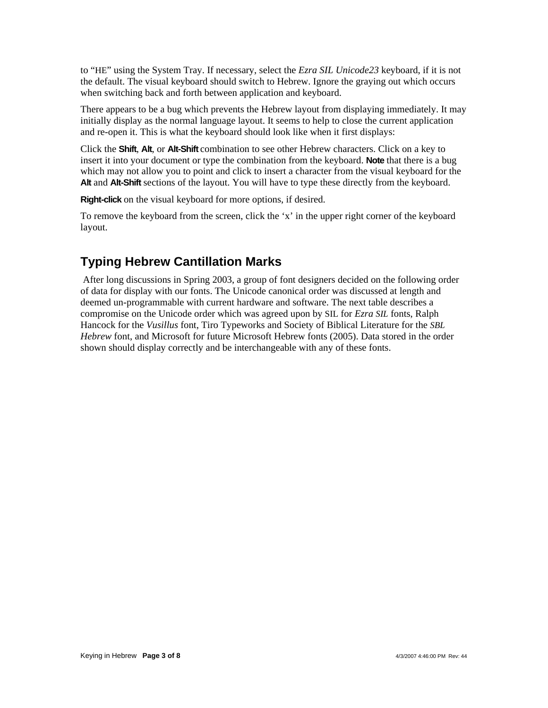to "HE" using the System Tray. If necessary, select the *Ezra SIL Unicode23* keyboard, if it is not the default. The visual keyboard should switch to Hebrew. Ignore the graying out which occurs when switching back and forth between application and keyboard.

There appears to be a bug which prevents the Hebrew layout from displaying immediately. It may initially display as the normal language layout. It seems to help to close the current application and re-open it. This is what the keyboard should look like when it first displays:

Click the **Shift**, **Alt**, or **Alt-Shift** combination to see other Hebrew characters. Click on a key to insert it into your document or type the combination from the keyboard. **Note** that there is a bug which may not allow you to point and click to insert a character from the visual keyboard for the **Alt** and **Alt-Shift** sections of the layout. You will have to type these directly from the keyboard.

**Right-click** on the visual keyboard for more options, if desired.

To remove the keyboard from the screen, click the 'x' in the upper right corner of the keyboard layout.

# **Typing Hebrew Cantillation Marks**

 After long discussions in Spring 2003, a group of font designers decided on the following order of data for display with our fonts. The Unicode canonical order was discussed at length and deemed un-programmable with current hardware and software. The next table describes a compromise on the Unicode order which was agreed upon by SIL for *Ezra SIL* fonts, Ralph Hancock for the *Vusillus* font, Tiro Typeworks and Society of Biblical Literature for the *SBL Hebrew* font, and Microsoft for future Microsoft Hebrew fonts (2005). Data stored in the order shown should display correctly and be interchangeable with any of these fonts.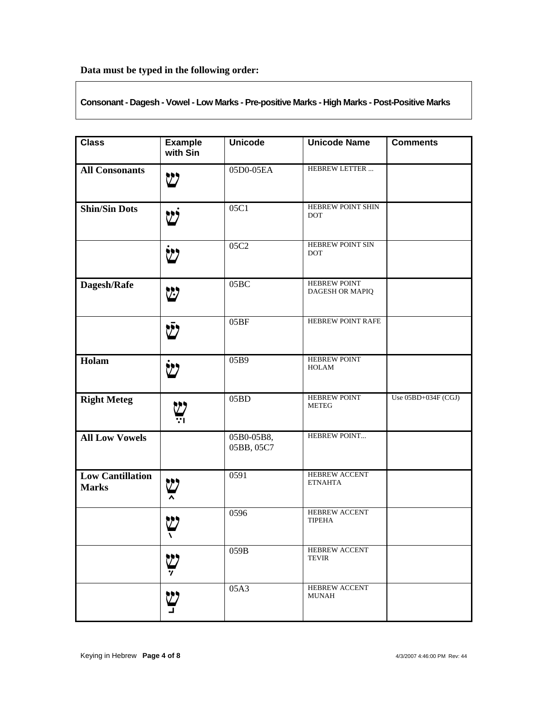**Data must be typed in the following order:** 

**Consonant - Dagesh - Vowel - Low Marks - Pre-positive Marks - High Marks - Post-Positive Marks** 

| <b>Class</b>                            | <b>Example</b><br>with Sin | <b>Unicode</b>           | <b>Unicode Name</b>                            | <b>Comments</b>     |
|-----------------------------------------|----------------------------|--------------------------|------------------------------------------------|---------------------|
| <b>All Consonants</b>                   | ש                          | 05D0-05EA                | HEBREW LETTER                                  |                     |
| <b>Shin/Sin Dots</b>                    |                            | 05C1                     | HEBREW POINT SHIN<br><b>DOT</b>                |                     |
|                                         | V)                         | 05C2                     | HEBREW POINT SIN<br><b>DOT</b>                 |                     |
| Dagesh/Rafe                             | W                          | 05BC                     | <b>HEBREW POINT</b><br>DAGESH OR MAPIQ         |                     |
|                                         | לש                         | 05BF                     | HEBREW POINT RAFE                              |                     |
| Holam                                   |                            | 05B9                     | HEBREW POINT<br><b>HOLAM</b>                   |                     |
| <b>Right Meteg</b>                      |                            | 05BD                     | HEBREW POINT<br><b>METEG</b>                   | Use 05BD+034F (CGJ) |
| <b>All Low Vowels</b>                   |                            | 05B0-05B8,<br>05BB, 05C7 | HEBREW POINT                                   |                     |
| <b>Low Cantillation</b><br><b>Marks</b> |                            | 0591                     | HEBREW ACCENT<br><b>ETNAHTA</b>                |                     |
|                                         | 1                          | 0596                     | HEBREW ACCENT<br><b>TIPEHA</b>                 |                     |
|                                         | <b>ש</b><br>7              | 059B                     | <b>HEBREW ACCENT</b><br><b>TEVIR</b>           |                     |
|                                         | <u>بي</u>                  | 05A3                     | <b>HEBREW ACCENT</b><br>$\operatorname{MUNAH}$ |                     |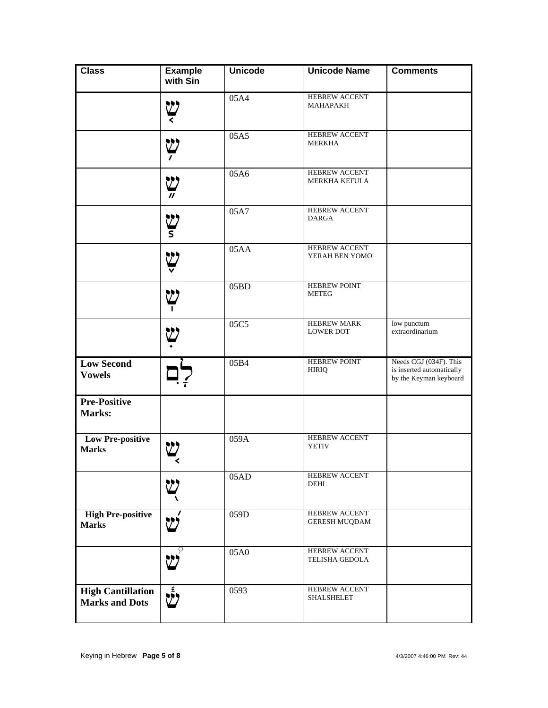| <b>Class</b>                                      | <b>Example</b><br>with Sin               | <b>Unicode</b> | <b>Unicode Name</b>                       | <b>Comments</b>                                                               |
|---------------------------------------------------|------------------------------------------|----------------|-------------------------------------------|-------------------------------------------------------------------------------|
|                                                   | <b>ليا</b>                               | 05A4           | <b>HEBREW ACCENT</b><br>МАНАРАКН          |                                                                               |
|                                                   | للإ                                      | 05A5           | HEBREW ACCENT<br><b>MERKHA</b>            |                                                                               |
|                                                   | للا                                      | 05A6           | HEBREW ACCENT<br><b>MERKHA KEFULA</b>     |                                                                               |
|                                                   | יש<br>ז                                  | 05A7           | HEBREW ACCENT<br><b>DARGA</b>             |                                                                               |
|                                                   | Ÿ                                        | 05AA           | <b>HEBREW ACCENT</b><br>YERAH BEN YOMO    |                                                                               |
|                                                   | V)                                       | 05BD           | <b>HEBREW POINT</b><br><b>METEG</b>       |                                                                               |
|                                                   | <u>יט</u>                                | 05C5           | HEBREW MARK<br><b>LOWER DOT</b>           | low punctum<br>extraordinarium                                                |
| <b>Low Second</b><br><b>Vowels</b>                |                                          | 05B4           | <b>HEBREW POINT</b><br><b>HIRIQ</b>       | Needs CGJ (034F). This<br>is inserted automatically<br>by the Keyman keyboard |
| <b>Pre-Positive</b><br>Marks:                     |                                          |                |                                           |                                                                               |
| <b>Low Pre-positive</b><br><b>Marks</b>           |                                          | 059A           | HEBREW ACCENT<br><b>YETIV</b>             |                                                                               |
|                                                   |                                          | 05AD           | HEBREW ACCENT<br>DEHI                     |                                                                               |
| <b>High Pre-positive</b><br><b>Marks</b>          | فكا                                      | 059D           | HEBREW ACCENT<br><b>GERESH MUQDAM</b>     |                                                                               |
|                                                   | P<br>$\sum$                              | 05A0           | <b>HEBREW ACCENT</b><br>TELISHA GEDOLA    |                                                                               |
| <b>High Cantillation</b><br><b>Marks and Dots</b> | $\boldsymbol{\check{\check{\vartheta}}}$ | 0593           | <b>HEBREW ACCENT</b><br><b>SHALSHELET</b> |                                                                               |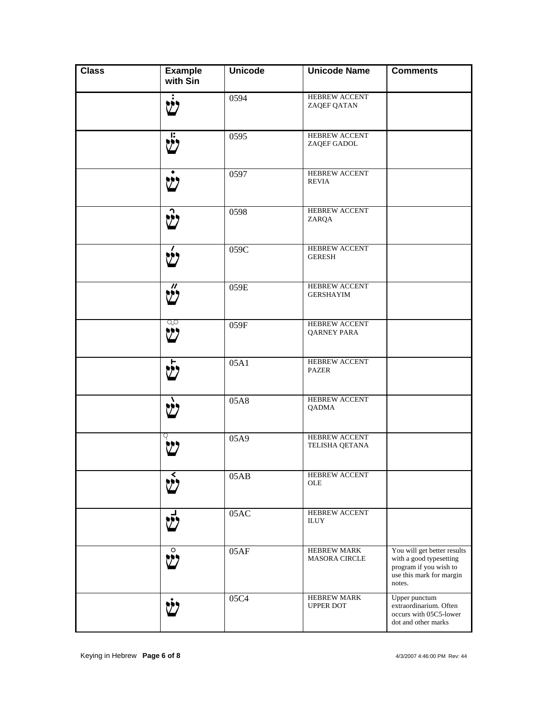| <b>Class</b> | <b>Example</b><br>with Sin       | <b>Unicode</b> | <b>Unicode Name</b>                      | <b>Comments</b>                                                                                                        |
|--------------|----------------------------------|----------------|------------------------------------------|------------------------------------------------------------------------------------------------------------------------|
|              | יי,                              | 0594           | HEBREW ACCENT<br>ZAQEF QATAN             |                                                                                                                        |
|              | $\dot{\mathbf{c}}$               | 0595           | HEBREW ACCENT<br>ZAQEF GADOL             |                                                                                                                        |
|              | Ŵ                                | 0597           | HEBREW ACCENT<br><b>REVIA</b>            |                                                                                                                        |
|              | $\vec{v}$                        | 0598           | HEBREW ACCENT<br>ZARQA                   |                                                                                                                        |
|              | $\acute{\mathfrak{V}}$           | 059C           | HEBREW ACCENT<br><b>GERESH</b>           |                                                                                                                        |
|              | $\boldsymbol{\prime\prime}$<br>Ü | 059E           | <b>HEBREW ACCENT</b><br><b>GERSHAYIM</b> |                                                                                                                        |
|              | go<br>ש                          | 059F           | HEBREW ACCENT<br>QARNEY PARA             |                                                                                                                        |
|              | $\bar{y}$                        | 05A1           | HEBREW ACCENT<br><b>PAZER</b>            |                                                                                                                        |
|              | Ŵ                                | 05A8           | HEBREW ACCENT<br>QADMA                   |                                                                                                                        |
|              |                                  | 05A9           | HEBREW ACCENT<br>TELISHA QETANA          |                                                                                                                        |
|              |                                  | 05AB           | HEBREW ACCENT<br>OLE                     |                                                                                                                        |
|              |                                  | 05AC           | HEBREW ACCENT<br><b>ILUY</b>             |                                                                                                                        |
|              | $\circ$                          | 05AF           | HEBREW MARK<br>MASORA CIRCLE             | You will get better results<br>with a good typesetting<br>program if you wish to<br>use this mark for margin<br>notes. |
|              |                                  | 05C4           | HEBREW MARK<br><b>UPPER DOT</b>          | Upper punctum<br>extraordinarium. Often<br>occurs with 05C5-lower<br>dot and other marks                               |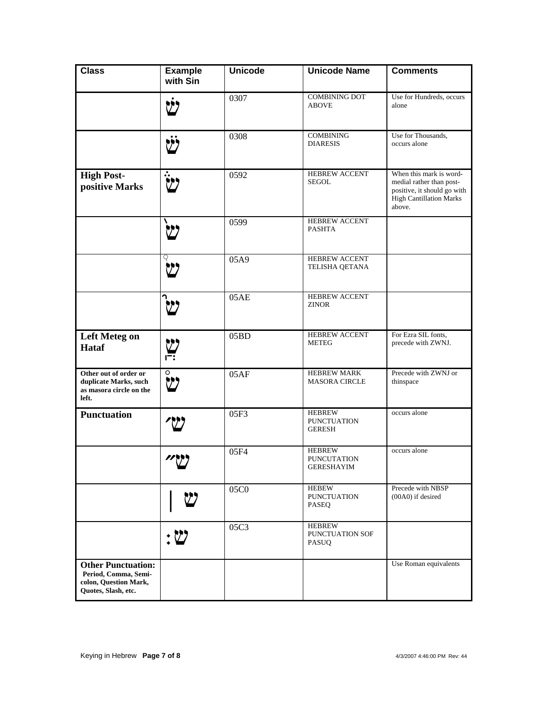| <b>Class</b>                                                                                      | <b>Example</b><br>with Sin                                   | <b>Unicode</b> | <b>Unicode Name</b>                                      | <b>Comments</b>                                                                                                                |
|---------------------------------------------------------------------------------------------------|--------------------------------------------------------------|----------------|----------------------------------------------------------|--------------------------------------------------------------------------------------------------------------------------------|
|                                                                                                   |                                                              | 0307           | <b>COMBINING DOT</b><br><b>ABOVE</b>                     | Use for Hundreds, occurs<br>alone                                                                                              |
|                                                                                                   |                                                              | 0308           | <b>COMBINING</b><br><b>DIARESIS</b>                      | Use for Thousands,<br>occurs alone                                                                                             |
| <b>High Post-</b><br>positive Marks                                                               |                                                              | 0592           | <b>HEBREW ACCENT</b><br>SEGOL                            | When this mark is word-<br>medial rather than post-<br>positive, it should go with<br><b>High Cantillation Marks</b><br>above. |
|                                                                                                   |                                                              | 0599           | <b>HEBREW ACCENT</b><br><b>PASHTA</b>                    |                                                                                                                                |
|                                                                                                   |                                                              | 05A9           | <b>HEBREW ACCENT</b><br>TELISHA QETANA                   |                                                                                                                                |
|                                                                                                   |                                                              | 05AE           | <b>HEBREW ACCENT</b><br><b>ZINOR</b>                     |                                                                                                                                |
| <b>Left Meteg on</b><br><b>Hataf</b>                                                              | $\sum_{i=1}^{n}$                                             | 05BD           | <b>HEBREW ACCENT</b><br><b>METEG</b>                     | For Ezra SIL fonts,<br>precede with ZWNJ.                                                                                      |
| Other out of order or<br>duplicate Marks, such<br>as masora circle on the<br>left.                | O                                                            | 05AF           | <b>HEBREW MARK</b><br><b>MASORA CIRCLE</b>               | Precede with ZWNJ or<br>thinspace                                                                                              |
| <b>Punctuation</b>                                                                                |                                                              | 05F3           | <b>HEBREW</b><br><b>PUNCTUATION</b><br><b>GERESH</b>     | occurs alone                                                                                                                   |
|                                                                                                   | //\\                                                         | 05F4           | <b>HEBREW</b><br><b>PUNCUTATION</b><br><b>GERESHAYIM</b> | occurs alone                                                                                                                   |
|                                                                                                   |                                                              | 05C0           | <b>HEBEW</b><br><b>PUNCTUATION</b><br><b>PASEQ</b>       | Precede with NBSP<br>(00A0) if desired                                                                                         |
|                                                                                                   | $:\mathcal{U}% _{M_{1},M_{2}}^{\alpha,\beta}(\varepsilon)$ : | 05C3           | <b>HEBREW</b><br>PUNCTUATION SOF<br>PASUQ                |                                                                                                                                |
| <b>Other Punctuation:</b><br>Period, Comma, Semi-<br>colon, Question Mark,<br>Quotes, Slash, etc. |                                                              |                |                                                          | Use Roman equivalents                                                                                                          |